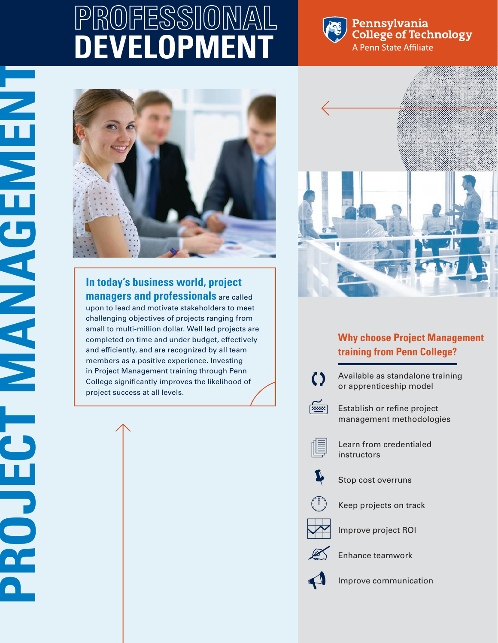## **PROFESSIONAL DEVELOPMEN**



Pennsylvania **College of Technology** A Penn State Affiliate



## **In today's business world, project managers and professionals** are called

**PROJECT MANAGEMENT** 

**PROJECT ANALONEDRA** 

upon to lead and motivate stakeholders to meet challenging objectives of projects ranging from small to multi-million dollar. Well led projects are completed on time and under budget, effectively and efficiently, and are recognized by all team members as a positive experience. Investing in Project Management training through Penn College significantly improves the likelihood of project success at all levels.



## **Why choose Project Management training from Penn College?**

 $\zeta$ 

Available as standalone training or apprenticeship model



Establish or refine project management methodologies



Learn from credentialed instructors



Stop cost overruns



Keep projects on track



Improve project ROI



Enhance teamwork



Improve communication